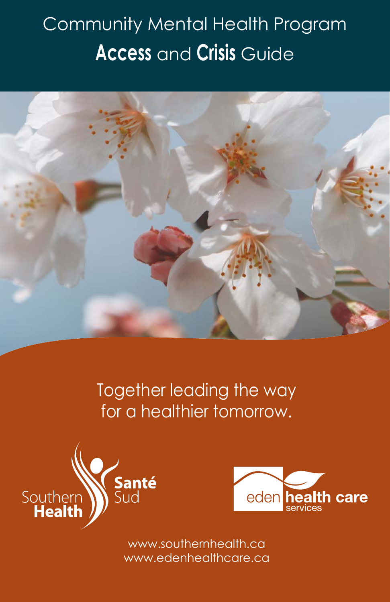## Community Mental Health Program **Access** and **Crisis** Guide



Together leading the way for a healthier tomorrow.





www.southernhealth.ca www.edenhealthcare.ca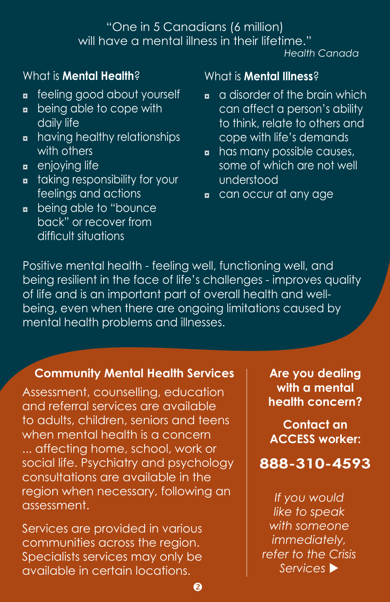## "One in 5 Canadians (6 million) will have a mental illness in their lifetime."

*Health Canada*

#### What is **Mental Health**?

- **n** feeling good about yourself
- **•** being able to cope with daily life
- **n** having healthy relationships with others
- **a** enjoying life
- **n** taking responsibility for your feelings and actions
- **a** being able to "bounce back" or recover from difficult situations

#### What is **Mental Illness**?

- $\Box$  a disorder of the brain which can affect a person's ability to think, relate to others and cope with life's demands
- **n** has many possible causes, some of which are not well understood
- can occur at any age

Positive mental health - feeling well, functioning well, and being resilient in the face of life's challenges - improves quality of life and is an important part of overall health and wellbeing, even when there are ongoing limitations caused by mental health problems and illnesses.

#### **Community Mental Health Services**

Assessment, counselling, education and referral services are available to adults, children, seniors and teens when mental health is a concern ... affecting home, school, work or social life. Psychiatry and psychology consultations are available in the region when necessary, following an assessment.

Services are provided in various communities across the region. Specialists services may only be available in certain locations.

**Are you dealing with a mental health concern?**

**Contact an ACCESS worker:**

**888-310-4593**

*If you would like to speak with someone immediately, refer to the Crisis Services*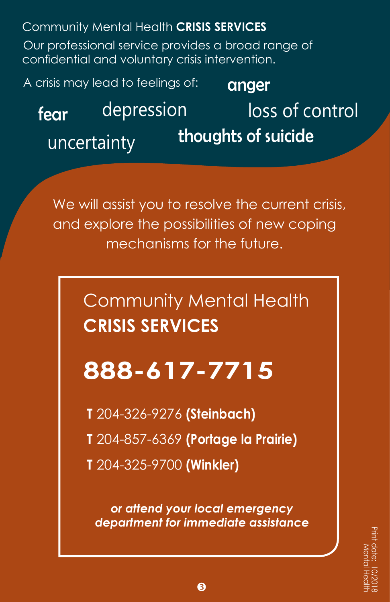Community Mental Health **CRISIS SERVICES**

Our professional service provides a broad range of confidential and voluntary crisis intervention.

A crisis may lead to feelings of:

anger

thoughts of suicide uncertainty fear depression

loss of control

We will assist you to resolve the current crisis, and explore the possibilities of new coping mechanisms for the future.

> Community Mental Health **CRISIS SERVICES**

# **888-617-7715**

**T** 204-326-9276 **(Steinbach)**

**T** 204-857-6369 **(Portage la Prairie)**

**T** 204-325-9700 **(Winkler)**

*or attend your local emergency department for immediate assistance*

❸

Print date: 10/2018 Mental Health